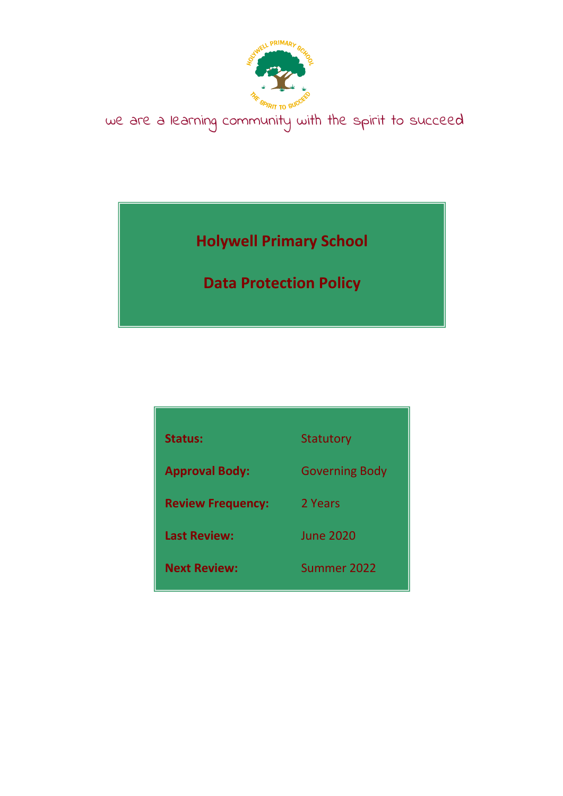

we are a learning community with the spirit to succeed

**Holywell Primary School**

**Data Protection Policy**

| Status:                  | Statutory             |
|--------------------------|-----------------------|
| <b>Approval Body:</b>    | <b>Governing Body</b> |
| <b>Review Frequency:</b> | 2 Years               |
| <b>Last Review:</b>      | <b>June 2020</b>      |
| <b>Next Review:</b>      | Summer 2022           |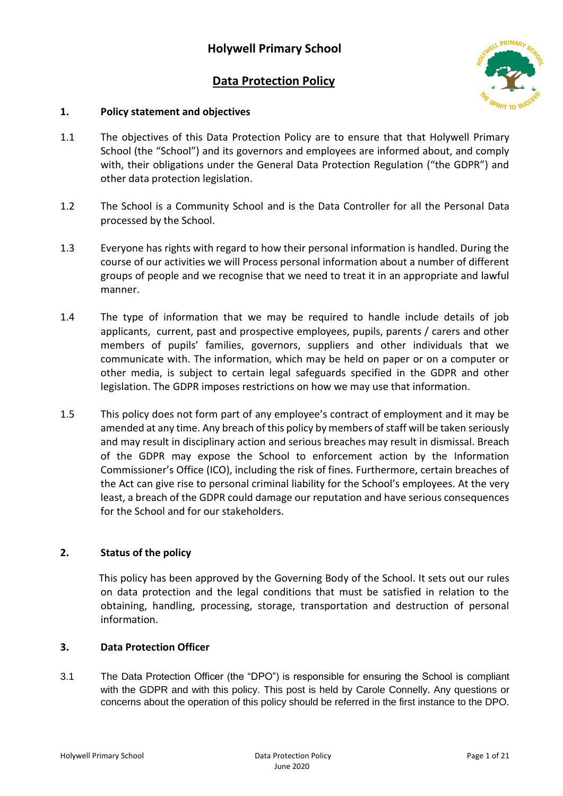# **Data Protection Policy**



### **1. Policy statement and objectives**

- 1.1 The objectives of this Data Protection Policy are to ensure that that Holywell Primary School (the "School") and its governors and employees are informed about, and comply with, their obligations under the General Data Protection Regulation ("the GDPR") and other data protection legislation.
- 1.2 The School is a Community School and is the Data Controller for all the Personal Data processed by the School.
- 1.3 Everyone has rights with regard to how their personal information is handled. During the course of our activities we will Process personal information about a number of different groups of people and we recognise that we need to treat it in an appropriate and lawful manner.
- 1.4 The type of information that we may be required to handle include details of job applicants, current, past and prospective employees, pupils, parents / carers and other members of pupils' families, governors, suppliers and other individuals that we communicate with. The information, which may be held on paper or on a computer or other media, is subject to certain legal safeguards specified in the GDPR and other legislation. The GDPR imposes restrictions on how we may use that information.
- 1.5 This policy does not form part of any employee's contract of employment and it may be amended at any time. Any breach of this policy by members of staff will be taken seriously and may result in disciplinary action and serious breaches may result in dismissal. Breach of the GDPR may expose the School to enforcement action by the Information Commissioner's Office (ICO), including the risk of fines. Furthermore, certain breaches of the Act can give rise to personal criminal liability for the School's employees. At the very least, a breach of the GDPR could damage our reputation and have serious consequences for the School and for our stakeholders.

## **2. Status of the policy**

 This policy has been approved by the Governing Body of the School. It sets out our rules on data protection and the legal conditions that must be satisfied in relation to the obtaining, handling, processing, storage, transportation and destruction of personal information.

### **3. Data Protection Officer**

3.1 The Data Protection Officer (the "DPO") is responsible for ensuring the School is compliant with the GDPR and with this policy. This post is held by Carole Connelly. Any questions or concerns about the operation of this policy should be referred in the first instance to the DPO.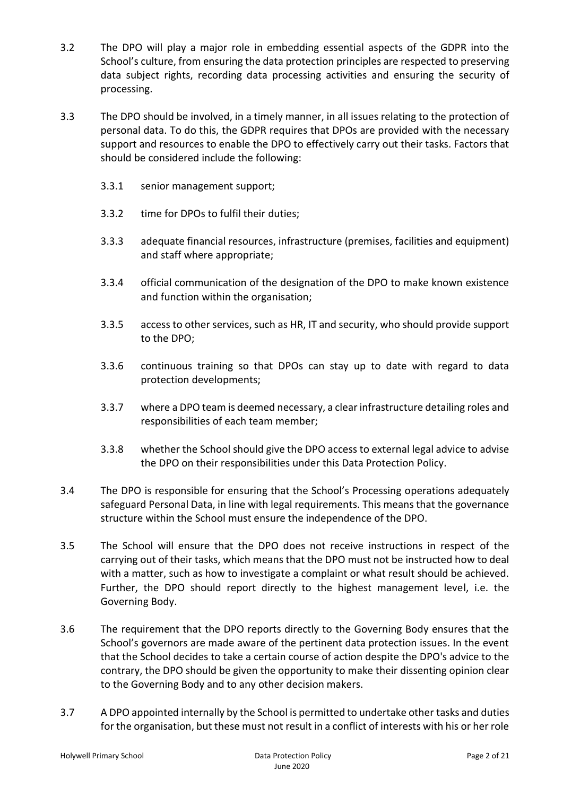- 3.2 The DPO will play a major role in embedding essential aspects of the GDPR into the School's culture, from ensuring the data protection principles are respected to preserving data subject rights, recording data processing activities and ensuring the security of processing.
- 3.3 The DPO should be involved, in a timely manner, in all issues relating to the protection of personal data. To do this, the GDPR requires that DPOs are provided with the necessary support and resources to enable the DPO to effectively carry out their tasks. Factors that should be considered include the following:
	- 3.3.1 senior management support;
	- 3.3.2 time for DPOs to fulfil their duties;
	- 3.3.3 adequate financial resources, infrastructure (premises, facilities and equipment) and staff where appropriate;
	- 3.3.4 official communication of the designation of the DPO to make known existence and function within the organisation;
	- 3.3.5 access to other services, such as HR, IT and security, who should provide support to the DPO;
	- 3.3.6 continuous training so that DPOs can stay up to date with regard to data protection developments;
	- 3.3.7 where a DPO team is deemed necessary, a clear infrastructure detailing roles and responsibilities of each team member;
	- 3.3.8 whether the School should give the DPO access to external legal advice to advise the DPO on their responsibilities under this Data Protection Policy.
- 3.4 The DPO is responsible for ensuring that the School's Processing operations adequately safeguard Personal Data, in line with legal requirements. This means that the governance structure within the School must ensure the independence of the DPO.
- 3.5 The School will ensure that the DPO does not receive instructions in respect of the carrying out of their tasks, which means that the DPO must not be instructed how to deal with a matter, such as how to investigate a complaint or what result should be achieved. Further, the DPO should report directly to the highest management level, i.e. the Governing Body.
- 3.6 The requirement that the DPO reports directly to the Governing Body ensures that the School's governors are made aware of the pertinent data protection issues. In the event that the School decides to take a certain course of action despite the DPO's advice to the contrary, the DPO should be given the opportunity to make their dissenting opinion clear to the Governing Body and to any other decision makers.
- 3.7 A DPO appointed internally by the School is permitted to undertake other tasks and duties for the organisation, but these must not result in a conflict of interests with his or her role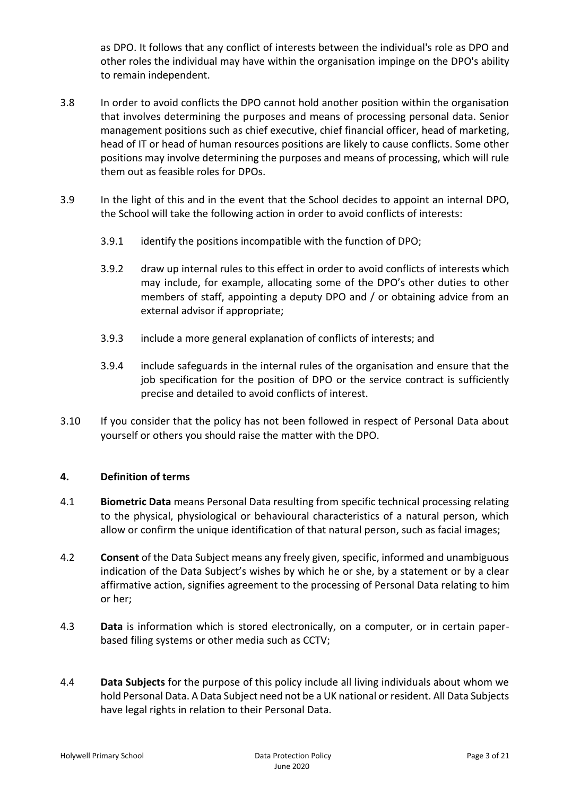as DPO. It follows that any conflict of interests between the individual's role as DPO and other roles the individual may have within the organisation impinge on the DPO's ability to remain independent.

- 3.8 In order to avoid conflicts the DPO cannot hold another position within the organisation that involves determining the purposes and means of processing personal data. Senior management positions such as chief executive, chief financial officer, head of marketing, head of IT or head of human resources positions are likely to cause conflicts. Some other positions may involve determining the purposes and means of processing, which will rule them out as feasible roles for DPOs.
- 3.9 In the light of this and in the event that the School decides to appoint an internal DPO, the School will take the following action in order to avoid conflicts of interests:
	- 3.9.1 identify the positions incompatible with the function of DPO;
	- 3.9.2 draw up internal rules to this effect in order to avoid conflicts of interests which may include, for example, allocating some of the DPO's other duties to other members of staff, appointing a deputy DPO and / or obtaining advice from an external advisor if appropriate;
	- 3.9.3 include a more general explanation of conflicts of interests; and
	- 3.9.4 include safeguards in the internal rules of the organisation and ensure that the job specification for the position of DPO or the service contract is sufficiently precise and detailed to avoid conflicts of interest.
- 3.10 If you consider that the policy has not been followed in respect of Personal Data about yourself or others you should raise the matter with the DPO.

### **4. Definition of terms**

- 4.1 **Biometric Data** means Personal Data resulting from specific technical processing relating to the physical, physiological or behavioural characteristics of a natural person, which allow or confirm the unique identification of that natural person, such as facial images;
- 4.2 **Consent** of the Data Subject means any freely given, specific, informed and unambiguous indication of the Data Subject's wishes by which he or she, by a statement or by a clear affirmative action, signifies agreement to the processing of Personal Data relating to him or her;
- 4.3 **Data** is information which is stored electronically, on a computer, or in certain paperbased filing systems or other media such as CCTV;
- 4.4 **Data Subjects** for the purpose of this policy include all living individuals about whom we hold Personal Data. A Data Subject need not be a UK national or resident. All Data Subjects have legal rights in relation to their Personal Data.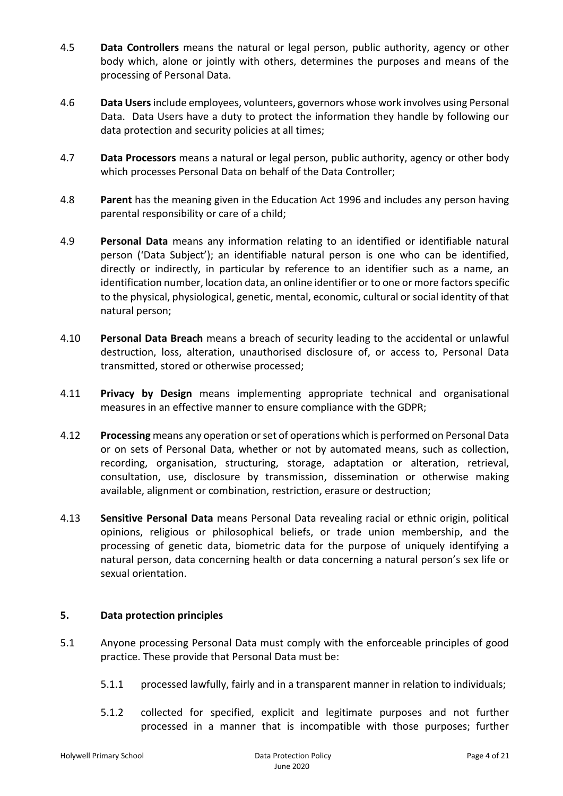- 4.5 **Data Controllers** means the natural or legal person, public authority, agency or other body which, alone or jointly with others, determines the purposes and means of the processing of Personal Data.
- 4.6 **Data Users**include employees, volunteers, governors whose work involves using Personal Data. Data Users have a duty to protect the information they handle by following our data protection and security policies at all times;
- 4.7 **Data Processors** means a natural or legal person, public authority, agency or other body which processes Personal Data on behalf of the Data Controller;
- 4.8 **Parent** has the meaning given in the Education Act 1996 and includes any person having parental responsibility or care of a child;
- 4.9 **Personal Data** means any information relating to an identified or identifiable natural person ('Data Subject'); an identifiable natural person is one who can be identified, directly or indirectly, in particular by reference to an identifier such as a name, an identification number, location data, an online identifier or to one or more factors specific to the physical, physiological, genetic, mental, economic, cultural or social identity of that natural person;
- 4.10 **Personal Data Breach** means a breach of security leading to the accidental or unlawful destruction, loss, alteration, unauthorised disclosure of, or access to, Personal Data transmitted, stored or otherwise processed;
- 4.11 **Privacy by Design** means implementing appropriate technical and organisational measures in an effective manner to ensure compliance with the GDPR;
- 4.12 **Processing** means any operation or set of operations which is performed on Personal Data or on sets of Personal Data, whether or not by automated means, such as collection, recording, organisation, structuring, storage, adaptation or alteration, retrieval, consultation, use, disclosure by transmission, dissemination or otherwise making available, alignment or combination, restriction, erasure or destruction;
- 4.13 **Sensitive Personal Data** means Personal Data revealing racial or ethnic origin, political opinions, religious or philosophical beliefs, or trade union membership, and the processing of genetic data, biometric data for the purpose of uniquely identifying a natural person, data concerning health or data concerning a natural person's sex life or sexual orientation.

## **5. Data protection principles**

- 5.1 Anyone processing Personal Data must comply with the enforceable principles of good practice. These provide that Personal Data must be:
	- 5.1.1 processed lawfully, fairly and in a transparent manner in relation to individuals;
	- 5.1.2 collected for specified, explicit and legitimate purposes and not further processed in a manner that is incompatible with those purposes; further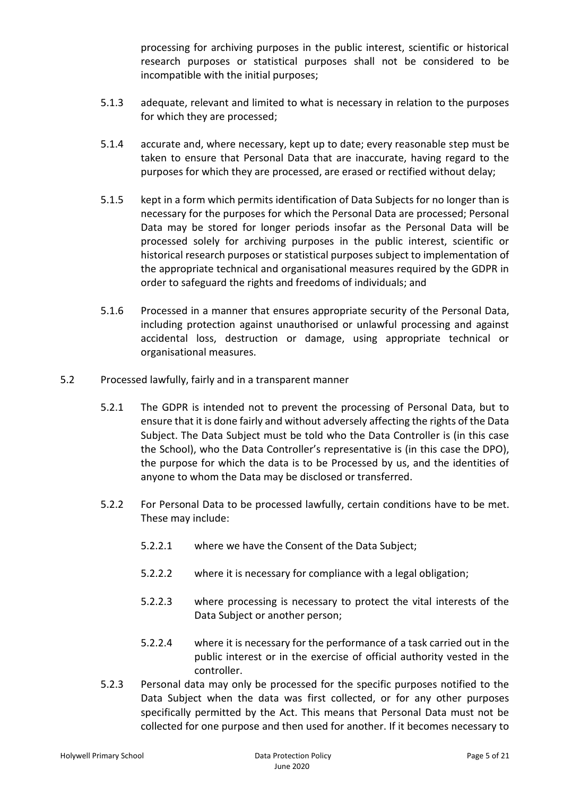processing for archiving purposes in the public interest, scientific or historical research purposes or statistical purposes shall not be considered to be incompatible with the initial purposes;

- 5.1.3 adequate, relevant and limited to what is necessary in relation to the purposes for which they are processed;
- 5.1.4 accurate and, where necessary, kept up to date; every reasonable step must be taken to ensure that Personal Data that are inaccurate, having regard to the purposes for which they are processed, are erased or rectified without delay;
- 5.1.5 kept in a form which permits identification of Data Subjects for no longer than is necessary for the purposes for which the Personal Data are processed; Personal Data may be stored for longer periods insofar as the Personal Data will be processed solely for archiving purposes in the public interest, scientific or historical research purposes or statistical purposes subject to implementation of the appropriate technical and organisational measures required by the GDPR in order to safeguard the rights and freedoms of individuals; and
- 5.1.6 Processed in a manner that ensures appropriate security of the Personal Data, including protection against unauthorised or unlawful processing and against accidental loss, destruction or damage, using appropriate technical or organisational measures.
- 5.2 Processed lawfully, fairly and in a transparent manner
	- 5.2.1 The GDPR is intended not to prevent the processing of Personal Data, but to ensure that it is done fairly and without adversely affecting the rights of the Data Subject. The Data Subject must be told who the Data Controller is (in this case the School), who the Data Controller's representative is (in this case the DPO), the purpose for which the data is to be Processed by us, and the identities of anyone to whom the Data may be disclosed or transferred.
	- 5.2.2 For Personal Data to be processed lawfully, certain conditions have to be met. These may include:
		- 5.2.2.1 where we have the Consent of the Data Subject;
		- 5.2.2.2 where it is necessary for compliance with a legal obligation;
		- 5.2.2.3 where processing is necessary to protect the vital interests of the Data Subject or another person;
		- 5.2.2.4 where it is necessary for the performance of a task carried out in the public interest or in the exercise of official authority vested in the controller.
	- 5.2.3 Personal data may only be processed for the specific purposes notified to the Data Subject when the data was first collected, or for any other purposes specifically permitted by the Act. This means that Personal Data must not be collected for one purpose and then used for another. If it becomes necessary to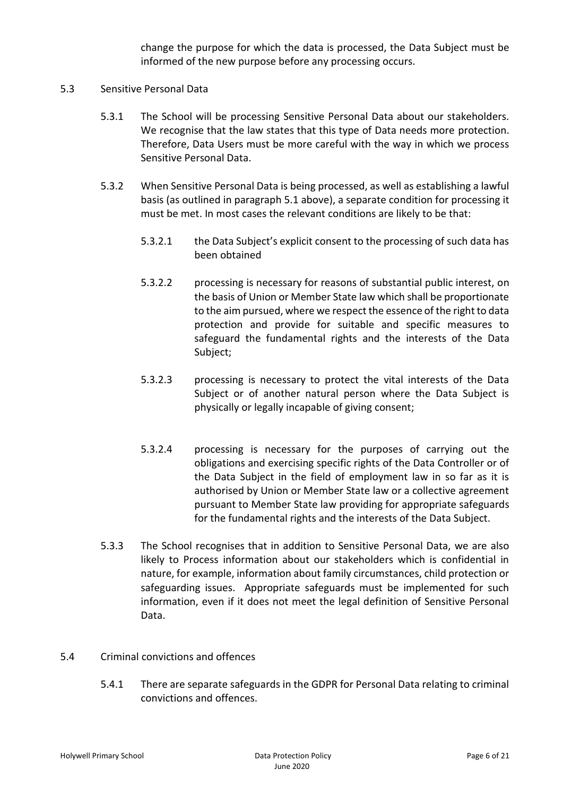change the purpose for which the data is processed, the Data Subject must be informed of the new purpose before any processing occurs.

### 5.3 Sensitive Personal Data

- 5.3.1 The School will be processing Sensitive Personal Data about our stakeholders. We recognise that the law states that this type of Data needs more protection. Therefore, Data Users must be more careful with the way in which we process Sensitive Personal Data.
- 5.3.2 When Sensitive Personal Data is being processed, as well as establishing a lawful basis (as outlined in paragraph 5.1 above), a separate condition for processing it must be met. In most cases the relevant conditions are likely to be that:
	- 5.3.2.1 the Data Subject's explicit consent to the processing of such data has been obtained
	- 5.3.2.2 processing is necessary for reasons of substantial public interest, on the basis of Union or Member State law which shall be proportionate to the aim pursued, where we respect the essence of the right to data protection and provide for suitable and specific measures to safeguard the fundamental rights and the interests of the Data Subject;
	- 5.3.2.3 processing is necessary to protect the vital interests of the Data Subject or of another natural person where the Data Subject is physically or legally incapable of giving consent;
	- 5.3.2.4 processing is necessary for the purposes of carrying out the obligations and exercising specific rights of the Data Controller or of the Data Subject in the field of employment law in so far as it is authorised by Union or Member State law or a collective agreement pursuant to Member State law providing for appropriate safeguards for the fundamental rights and the interests of the Data Subject.
- 5.3.3 The School recognises that in addition to Sensitive Personal Data, we are also likely to Process information about our stakeholders which is confidential in nature, for example, information about family circumstances, child protection or safeguarding issues. Appropriate safeguards must be implemented for such information, even if it does not meet the legal definition of Sensitive Personal Data.
- 5.4 Criminal convictions and offences
	- 5.4.1 There are separate safeguards in the GDPR for Personal Data relating to criminal convictions and offences.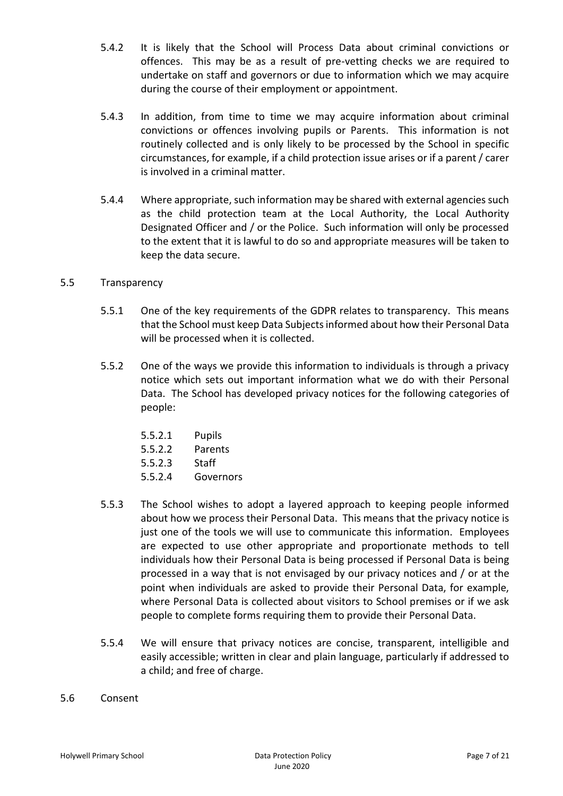- 5.4.2 It is likely that the School will Process Data about criminal convictions or offences. This may be as a result of pre-vetting checks we are required to undertake on staff and governors or due to information which we may acquire during the course of their employment or appointment.
- 5.4.3 In addition, from time to time we may acquire information about criminal convictions or offences involving pupils or Parents. This information is not routinely collected and is only likely to be processed by the School in specific circumstances, for example, if a child protection issue arises or if a parent / carer is involved in a criminal matter.
- 5.4.4 Where appropriate, such information may be shared with external agencies such as the child protection team at the Local Authority, the Local Authority Designated Officer and / or the Police. Such information will only be processed to the extent that it is lawful to do so and appropriate measures will be taken to keep the data secure.

#### 5.5 Transparency

- 5.5.1 One of the key requirements of the GDPR relates to transparency. This means that the School must keep Data Subjects informed about how their Personal Data will be processed when it is collected.
- 5.5.2 One of the ways we provide this information to individuals is through a privacy notice which sets out important information what we do with their Personal Data. The School has developed privacy notices for the following categories of people:

| 5.5.2.1 | Pupils    |
|---------|-----------|
| 5.5.2.2 | Parents   |
| 5.5.2.3 | Staff     |
| 5.5.2.4 | Governors |

- 5.5.3 The School wishes to adopt a layered approach to keeping people informed about how we process their Personal Data. This means that the privacy notice is just one of the tools we will use to communicate this information. Employees are expected to use other appropriate and proportionate methods to tell individuals how their Personal Data is being processed if Personal Data is being processed in a way that is not envisaged by our privacy notices and / or at the point when individuals are asked to provide their Personal Data, for example, where Personal Data is collected about visitors to School premises or if we ask people to complete forms requiring them to provide their Personal Data.
- 5.5.4 We will ensure that privacy notices are concise, transparent, intelligible and easily accessible; written in clear and plain language, particularly if addressed to a child; and free of charge.
- 5.6 Consent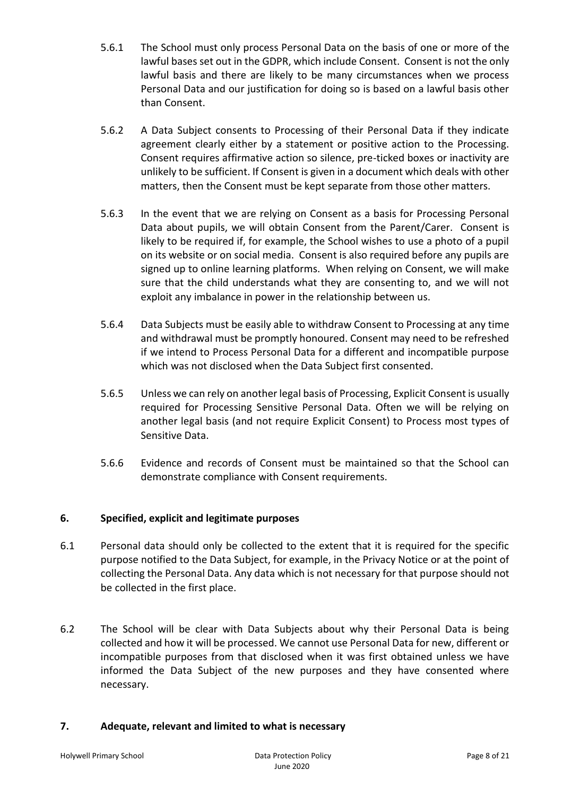- 5.6.1 The School must only process Personal Data on the basis of one or more of the lawful bases set out in the GDPR, which include Consent. Consent is not the only lawful basis and there are likely to be many circumstances when we process Personal Data and our justification for doing so is based on a lawful basis other than Consent.
- 5.6.2 A Data Subject consents to Processing of their Personal Data if they indicate agreement clearly either by a statement or positive action to the Processing. Consent requires affirmative action so silence, pre-ticked boxes or inactivity are unlikely to be sufficient. If Consent is given in a document which deals with other matters, then the Consent must be kept separate from those other matters.
- 5.6.3 In the event that we are relying on Consent as a basis for Processing Personal Data about pupils, we will obtain Consent from the Parent/Carer. Consent is likely to be required if, for example, the School wishes to use a photo of a pupil on its website or on social media. Consent is also required before any pupils are signed up to online learning platforms. When relying on Consent, we will make sure that the child understands what they are consenting to, and we will not exploit any imbalance in power in the relationship between us.
- 5.6.4 Data Subjects must be easily able to withdraw Consent to Processing at any time and withdrawal must be promptly honoured. Consent may need to be refreshed if we intend to Process Personal Data for a different and incompatible purpose which was not disclosed when the Data Subject first consented.
- 5.6.5 Unless we can rely on another legal basis of Processing, Explicit Consent is usually required for Processing Sensitive Personal Data. Often we will be relying on another legal basis (and not require Explicit Consent) to Process most types of Sensitive Data.
- 5.6.6 Evidence and records of Consent must be maintained so that the School can demonstrate compliance with Consent requirements.

## **6. Specified, explicit and legitimate purposes**

- 6.1 Personal data should only be collected to the extent that it is required for the specific purpose notified to the Data Subject, for example, in the Privacy Notice or at the point of collecting the Personal Data. Any data which is not necessary for that purpose should not be collected in the first place.
- 6.2 The School will be clear with Data Subjects about why their Personal Data is being collected and how it will be processed. We cannot use Personal Data for new, different or incompatible purposes from that disclosed when it was first obtained unless we have informed the Data Subject of the new purposes and they have consented where necessary.

### **7. Adequate, relevant and limited to what is necessary**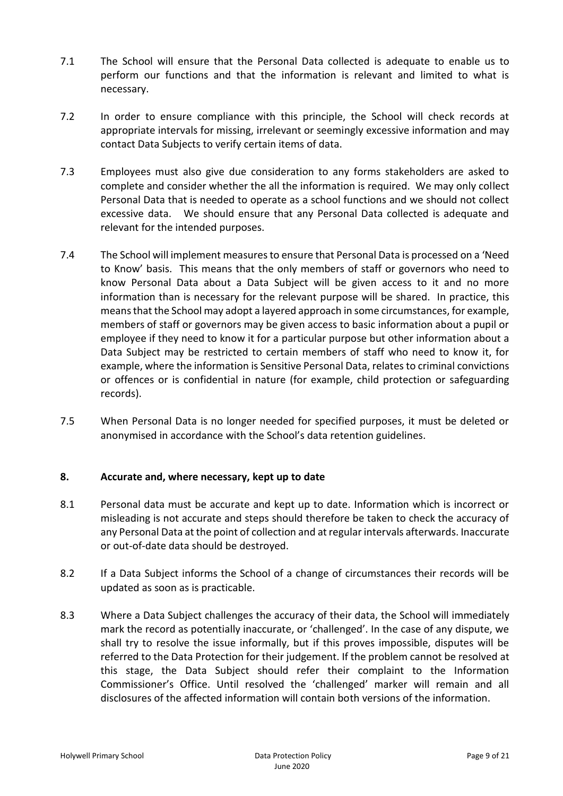- 7.1 The School will ensure that the Personal Data collected is adequate to enable us to perform our functions and that the information is relevant and limited to what is necessary.
- 7.2 In order to ensure compliance with this principle, the School will check records at appropriate intervals for missing, irrelevant or seemingly excessive information and may contact Data Subjects to verify certain items of data.
- 7.3 Employees must also give due consideration to any forms stakeholders are asked to complete and consider whether the all the information is required. We may only collect Personal Data that is needed to operate as a school functions and we should not collect excessive data. We should ensure that any Personal Data collected is adequate and relevant for the intended purposes.
- 7.4 The School will implement measures to ensure that Personal Data is processed on a 'Need to Know' basis. This means that the only members of staff or governors who need to know Personal Data about a Data Subject will be given access to it and no more information than is necessary for the relevant purpose will be shared. In practice, this means that the School may adopt a layered approach in some circumstances, for example, members of staff or governors may be given access to basic information about a pupil or employee if they need to know it for a particular purpose but other information about a Data Subject may be restricted to certain members of staff who need to know it, for example, where the information is Sensitive Personal Data, relates to criminal convictions or offences or is confidential in nature (for example, child protection or safeguarding records).
- 7.5 When Personal Data is no longer needed for specified purposes, it must be deleted or anonymised in accordance with the School's data retention guidelines.

### **8. Accurate and, where necessary, kept up to date**

- 8.1 Personal data must be accurate and kept up to date. Information which is incorrect or misleading is not accurate and steps should therefore be taken to check the accuracy of any Personal Data at the point of collection and at regular intervals afterwards. Inaccurate or out-of-date data should be destroyed.
- 8.2 If a Data Subject informs the School of a change of circumstances their records will be updated as soon as is practicable.
- 8.3 Where a Data Subject challenges the accuracy of their data, the School will immediately mark the record as potentially inaccurate, or 'challenged'. In the case of any dispute, we shall try to resolve the issue informally, but if this proves impossible, disputes will be referred to the Data Protection for their judgement. If the problem cannot be resolved at this stage, the Data Subject should refer their complaint to the Information Commissioner's Office. Until resolved the 'challenged' marker will remain and all disclosures of the affected information will contain both versions of the information.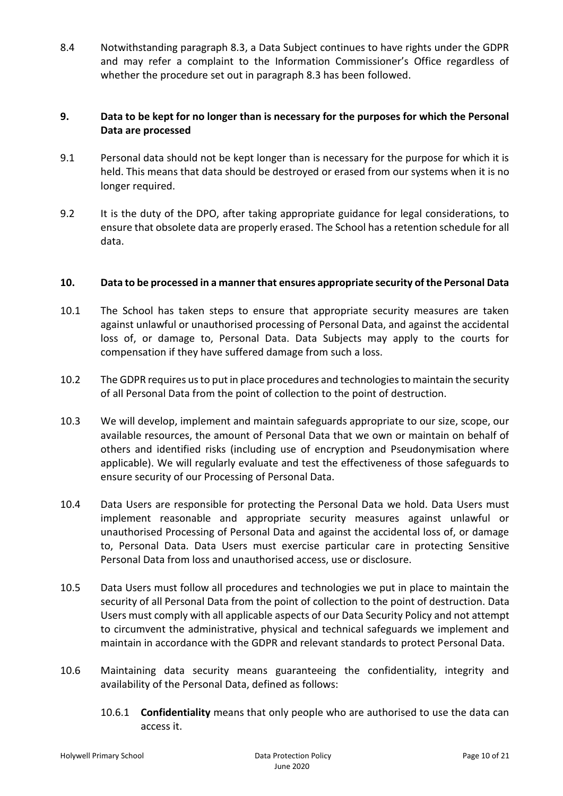8.4 Notwithstanding paragraph 8.3, a Data Subject continues to have rights under the GDPR and may refer a complaint to the Information Commissioner's Office regardless of whether the procedure set out in paragraph 8.3 has been followed.

### **9. Data to be kept for no longer than is necessary for the purposes for which the Personal Data are processed**

- 9.1 Personal data should not be kept longer than is necessary for the purpose for which it is held. This means that data should be destroyed or erased from our systems when it is no longer required.
- 9.2 It is the duty of the DPO, after taking appropriate guidance for legal considerations, to ensure that obsolete data are properly erased. The School has a retention schedule for all data.

### **10. Data to be processed in a manner that ensures appropriate security of the Personal Data**

- 10.1 The School has taken steps to ensure that appropriate security measures are taken against unlawful or unauthorised processing of Personal Data, and against the accidental loss of, or damage to, Personal Data. Data Subjects may apply to the courts for compensation if they have suffered damage from such a loss.
- 10.2 The GDPR requires us to put in place procedures and technologies to maintain the security of all Personal Data from the point of collection to the point of destruction.
- 10.3 We will develop, implement and maintain safeguards appropriate to our size, scope, our available resources, the amount of Personal Data that we own or maintain on behalf of others and identified risks (including use of encryption and Pseudonymisation where applicable). We will regularly evaluate and test the effectiveness of those safeguards to ensure security of our Processing of Personal Data.
- 10.4 Data Users are responsible for protecting the Personal Data we hold. Data Users must implement reasonable and appropriate security measures against unlawful or unauthorised Processing of Personal Data and against the accidental loss of, or damage to, Personal Data. Data Users must exercise particular care in protecting Sensitive Personal Data from loss and unauthorised access, use or disclosure.
- 10.5 Data Users must follow all procedures and technologies we put in place to maintain the security of all Personal Data from the point of collection to the point of destruction. Data Users must comply with all applicable aspects of our Data Security Policy and not attempt to circumvent the administrative, physical and technical safeguards we implement and maintain in accordance with the GDPR and relevant standards to protect Personal Data.
- 10.6 Maintaining data security means guaranteeing the confidentiality, integrity and availability of the Personal Data, defined as follows:
	- 10.6.1 **Confidentiality** means that only people who are authorised to use the data can access it.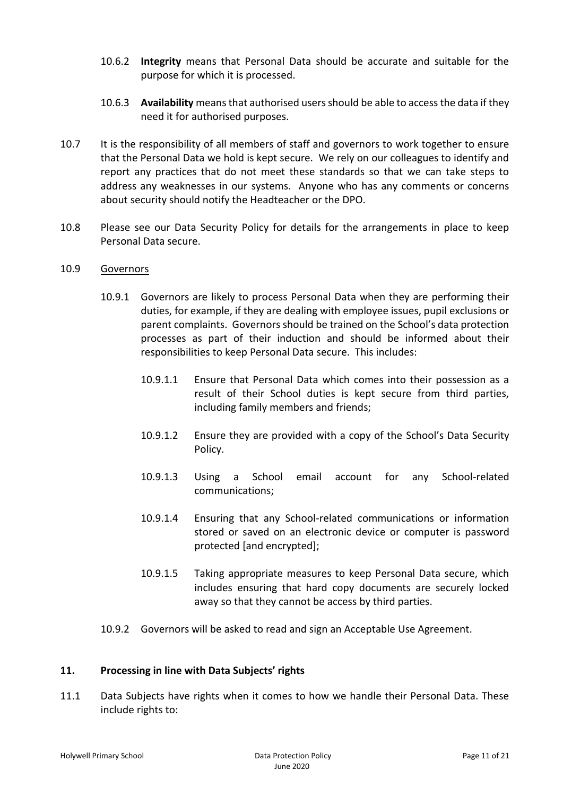- 10.6.2 **Integrity** means that Personal Data should be accurate and suitable for the purpose for which it is processed.
- 10.6.3 **Availability** means that authorised users should be able to access the data if they need it for authorised purposes.
- 10.7 It is the responsibility of all members of staff and governors to work together to ensure that the Personal Data we hold is kept secure. We rely on our colleagues to identify and report any practices that do not meet these standards so that we can take steps to address any weaknesses in our systems. Anyone who has any comments or concerns about security should notify the Headteacher or the DPO.
- 10.8 Please see our Data Security Policy for details for the arrangements in place to keep Personal Data secure.

#### 10.9 Governors

- 10.9.1 Governors are likely to process Personal Data when they are performing their duties, for example, if they are dealing with employee issues, pupil exclusions or parent complaints. Governors should be trained on the School's data protection processes as part of their induction and should be informed about their responsibilities to keep Personal Data secure. This includes:
	- 10.9.1.1 Ensure that Personal Data which comes into their possession as a result of their School duties is kept secure from third parties, including family members and friends;
	- 10.9.1.2 Ensure they are provided with a copy of the School's Data Security Policy.
	- 10.9.1.3 Using a School email account for any School-related communications;
	- 10.9.1.4 Ensuring that any School-related communications or information stored or saved on an electronic device or computer is password protected [and encrypted];
	- 10.9.1.5 Taking appropriate measures to keep Personal Data secure, which includes ensuring that hard copy documents are securely locked away so that they cannot be access by third parties.
- 10.9.2 Governors will be asked to read and sign an Acceptable Use Agreement.

### **11. Processing in line with Data Subjects' rights**

11.1 Data Subjects have rights when it comes to how we handle their Personal Data. These include rights to: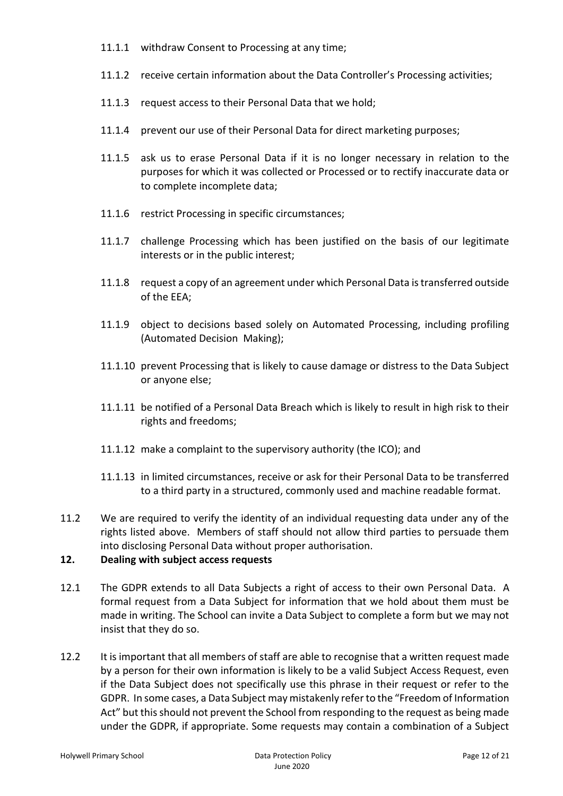- 11.1.1 withdraw Consent to Processing at any time;
- 11.1.2 receive certain information about the Data Controller's Processing activities;
- 11.1.3 request access to their Personal Data that we hold;
- 11.1.4 prevent our use of their Personal Data for direct marketing purposes;
- 11.1.5 ask us to erase Personal Data if it is no longer necessary in relation to the purposes for which it was collected or Processed or to rectify inaccurate data or to complete incomplete data;
- 11.1.6 restrict Processing in specific circumstances;
- 11.1.7 challenge Processing which has been justified on the basis of our legitimate interests or in the public interest;
- 11.1.8 request a copy of an agreement under which Personal Data is transferred outside of the EEA;
- 11.1.9 object to decisions based solely on Automated Processing, including profiling (Automated Decision Making);
- 11.1.10 prevent Processing that is likely to cause damage or distress to the Data Subject or anyone else;
- 11.1.11 be notified of a Personal Data Breach which is likely to result in high risk to their rights and freedoms;
- 11.1.12 make a complaint to the supervisory authority (the ICO); and
- 11.1.13 in limited circumstances, receive or ask for their Personal Data to be transferred to a third party in a structured, commonly used and machine readable format.
- 11.2 We are required to verify the identity of an individual requesting data under any of the rights listed above. Members of staff should not allow third parties to persuade them into disclosing Personal Data without proper authorisation.

### **12. Dealing with subject access requests**

- 12.1 The GDPR extends to all Data Subjects a right of access to their own Personal Data. A formal request from a Data Subject for information that we hold about them must be made in writing. The School can invite a Data Subject to complete a form but we may not insist that they do so.
- 12.2 It is important that all members of staff are able to recognise that a written request made by a person for their own information is likely to be a valid Subject Access Request, even if the Data Subject does not specifically use this phrase in their request or refer to the GDPR. In some cases, a Data Subject may mistakenly refer to the "Freedom of Information Act" but this should not prevent the School from responding to the request as being made under the GDPR, if appropriate. Some requests may contain a combination of a Subject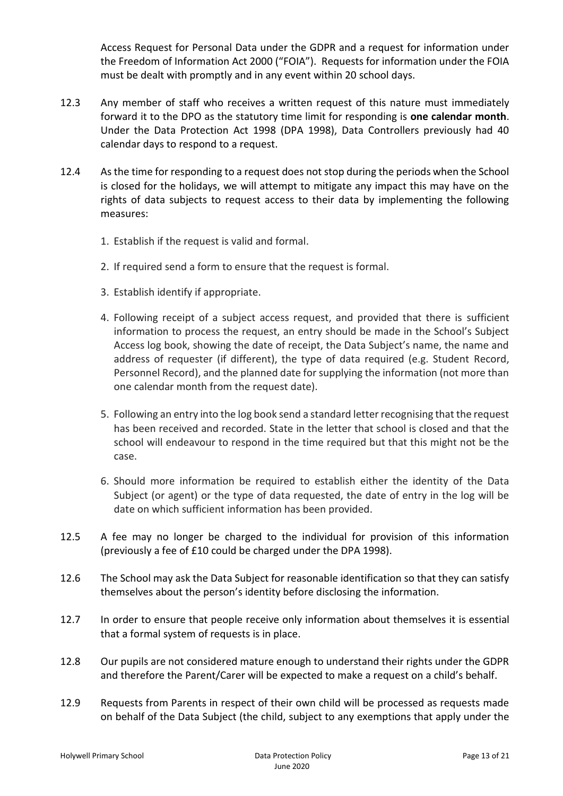Access Request for Personal Data under the GDPR and a request for information under the Freedom of Information Act 2000 ("FOIA"). Requests for information under the FOIA must be dealt with promptly and in any event within 20 school days.

- 12.3 Any member of staff who receives a written request of this nature must immediately forward it to the DPO as the statutory time limit for responding is **one calendar month**. Under the Data Protection Act 1998 (DPA 1998), Data Controllers previously had 40 calendar days to respond to a request.
- 12.4 As the time for responding to a request does not stop during the periods when the School is closed for the holidays, we will attempt to mitigate any impact this may have on the rights of data subjects to request access to their data by implementing the following measures:
	- 1. Establish if the request is valid and formal.
	- 2. If required send a form to ensure that the request is formal.
	- 3. Establish identify if appropriate.
	- 4. Following receipt of a subject access request, and provided that there is sufficient information to process the request, an entry should be made in the School's Subject Access log book, showing the date of receipt, the Data Subject's name, the name and address of requester (if different), the type of data required (e.g. Student Record, Personnel Record), and the planned date for supplying the information (not more than one calendar month from the request date).
	- 5. Following an entry into the log book send a standard letter recognising that the request has been received and recorded. State in the letter that school is closed and that the school will endeavour to respond in the time required but that this might not be the case.
	- 6. Should more information be required to establish either the identity of the Data Subject (or agent) or the type of data requested, the date of entry in the log will be date on which sufficient information has been provided.
- 12.5 A fee may no longer be charged to the individual for provision of this information (previously a fee of £10 could be charged under the DPA 1998).
- 12.6 The School may ask the Data Subject for reasonable identification so that they can satisfy themselves about the person's identity before disclosing the information.
- 12.7 In order to ensure that people receive only information about themselves it is essential that a formal system of requests is in place.
- 12.8 Our pupils are not considered mature enough to understand their rights under the GDPR and therefore the Parent/Carer will be expected to make a request on a child's behalf.
- 12.9 Requests from Parents in respect of their own child will be processed as requests made on behalf of the Data Subject (the child, subject to any exemptions that apply under the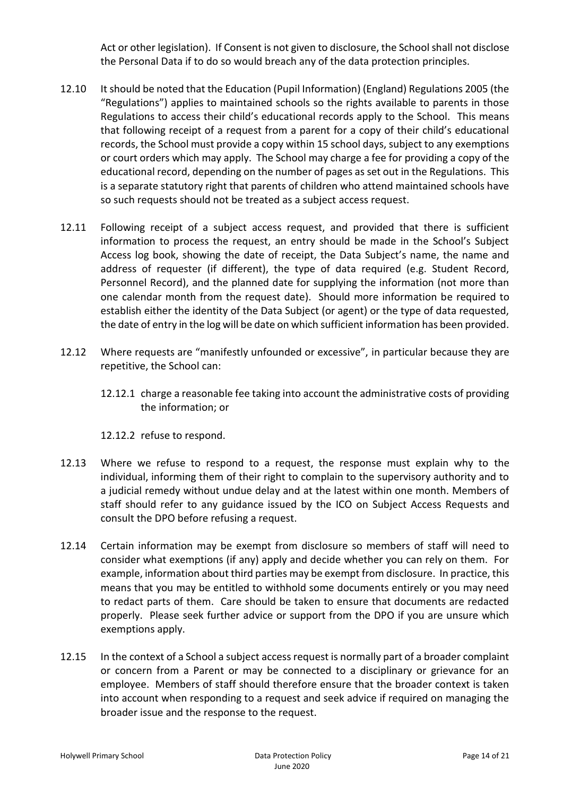Act or other legislation). If Consent is not given to disclosure, the School shall not disclose the Personal Data if to do so would breach any of the data protection principles.

- 12.10 It should be noted that the Education (Pupil Information) (England) Regulations 2005 (the "Regulations") applies to maintained schools so the rights available to parents in those Regulations to access their child's educational records apply to the School. This means that following receipt of a request from a parent for a copy of their child's educational records, the School must provide a copy within 15 school days, subject to any exemptions or court orders which may apply. The School may charge a fee for providing a copy of the educational record, depending on the number of pages as set out in the Regulations. This is a separate statutory right that parents of children who attend maintained schools have so such requests should not be treated as a subject access request.
- 12.11 Following receipt of a subject access request, and provided that there is sufficient information to process the request, an entry should be made in the School's Subject Access log book, showing the date of receipt, the Data Subject's name, the name and address of requester (if different), the type of data required (e.g. Student Record, Personnel Record), and the planned date for supplying the information (not more than one calendar month from the request date). Should more information be required to establish either the identity of the Data Subject (or agent) or the type of data requested, the date of entry in the log will be date on which sufficient information has been provided.
- 12.12 Where requests are "manifestly unfounded or excessive", in particular because they are repetitive, the School can:
	- 12.12.1 charge a reasonable fee taking into account the administrative costs of providing the information; or

12.12.2 refuse to respond.

- 12.13 Where we refuse to respond to a request, the response must explain why to the individual, informing them of their right to complain to the supervisory authority and to a judicial remedy without undue delay and at the latest within one month. Members of staff should refer to any guidance issued by the ICO on Subject Access Requests and consult the DPO before refusing a request.
- 12.14 Certain information may be exempt from disclosure so members of staff will need to consider what exemptions (if any) apply and decide whether you can rely on them. For example, information about third parties may be exempt from disclosure. In practice, this means that you may be entitled to withhold some documents entirely or you may need to redact parts of them. Care should be taken to ensure that documents are redacted properly. Please seek further advice or support from the DPO if you are unsure which exemptions apply.
- 12.15 In the context of a School a subject access request is normally part of a broader complaint or concern from a Parent or may be connected to a disciplinary or grievance for an employee. Members of staff should therefore ensure that the broader context is taken into account when responding to a request and seek advice if required on managing the broader issue and the response to the request.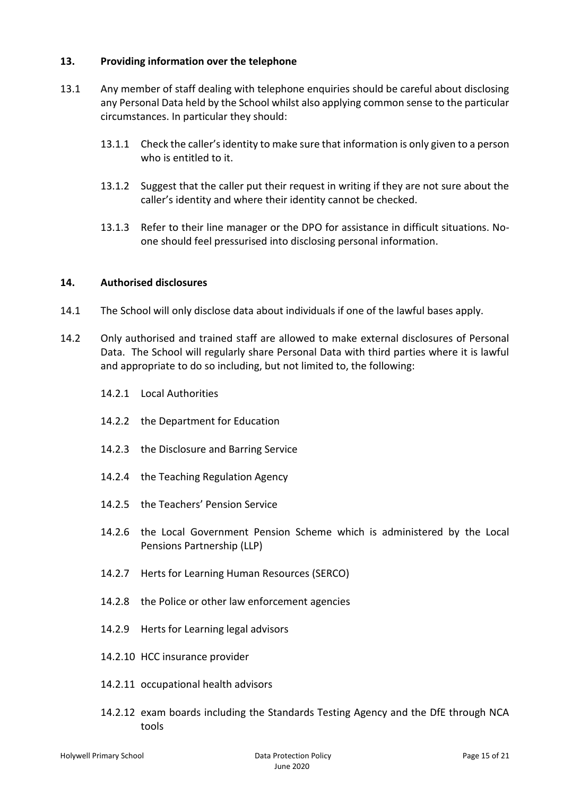### **13. Providing information over the telephone**

- 13.1 Any member of staff dealing with telephone enquiries should be careful about disclosing any Personal Data held by the School whilst also applying common sense to the particular circumstances. In particular they should:
	- 13.1.1 Check the caller's identity to make sure that information is only given to a person who is entitled to it.
	- 13.1.2 Suggest that the caller put their request in writing if they are not sure about the caller's identity and where their identity cannot be checked.
	- 13.1.3 Refer to their line manager or the DPO for assistance in difficult situations. Noone should feel pressurised into disclosing personal information.

### **14. Authorised disclosures**

- 14.1 The School will only disclose data about individuals if one of the lawful bases apply.
- 14.2 Only authorised and trained staff are allowed to make external disclosures of Personal Data. The School will regularly share Personal Data with third parties where it is lawful and appropriate to do so including, but not limited to, the following:
	- 14.2.1 Local Authorities
	- 14.2.2 the Department for Education
	- 14.2.3 the Disclosure and Barring Service
	- 14.2.4 the Teaching Regulation Agency
	- 14.2.5 the Teachers' Pension Service
	- 14.2.6 the Local Government Pension Scheme which is administered by the Local Pensions Partnership (LLP)
	- 14.2.7 Herts for Learning Human Resources (SERCO)
	- 14.2.8 the Police or other law enforcement agencies
	- 14.2.9 Herts for Learning legal advisors
	- 14.2.10 HCC insurance provider
	- 14.2.11 occupational health advisors
	- 14.2.12 exam boards including the Standards Testing Agency and the DfE through NCA tools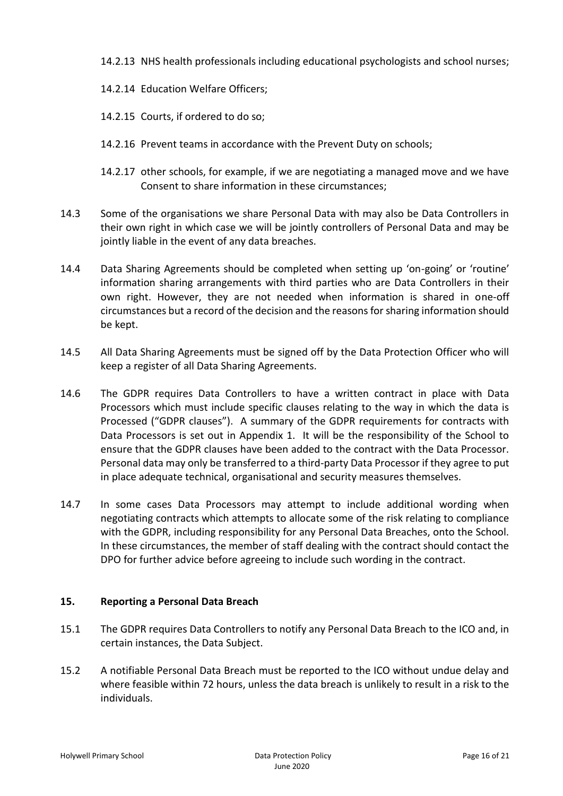- 14.2.13 NHS health professionals including educational psychologists and school nurses;
- 14.2.14 Education Welfare Officers;
- 14.2.15 Courts, if ordered to do so;
- 14.2.16 Prevent teams in accordance with the Prevent Duty on schools;
- 14.2.17 other schools, for example, if we are negotiating a managed move and we have Consent to share information in these circumstances;
- 14.3 Some of the organisations we share Personal Data with may also be Data Controllers in their own right in which case we will be jointly controllers of Personal Data and may be jointly liable in the event of any data breaches.
- 14.4 Data Sharing Agreements should be completed when setting up 'on-going' or 'routine' information sharing arrangements with third parties who are Data Controllers in their own right. However, they are not needed when information is shared in one-off circumstances but a record of the decision and the reasons for sharing information should be kept.
- 14.5 All Data Sharing Agreements must be signed off by the Data Protection Officer who will keep a register of all Data Sharing Agreements.
- 14.6 The GDPR requires Data Controllers to have a written contract in place with Data Processors which must include specific clauses relating to the way in which the data is Processed ("GDPR clauses"). A summary of the GDPR requirements for contracts with Data Processors is set out in Appendix 1. It will be the responsibility of the School to ensure that the GDPR clauses have been added to the contract with the Data Processor. Personal data may only be transferred to a third-party Data Processor if they agree to put in place adequate technical, organisational and security measures themselves.
- 14.7 In some cases Data Processors may attempt to include additional wording when negotiating contracts which attempts to allocate some of the risk relating to compliance with the GDPR, including responsibility for any Personal Data Breaches, onto the School. In these circumstances, the member of staff dealing with the contract should contact the DPO for further advice before agreeing to include such wording in the contract.

### **15. Reporting a Personal Data Breach**

- 15.1 The GDPR requires Data Controllers to notify any Personal Data Breach to the ICO and, in certain instances, the Data Subject.
- 15.2 A notifiable Personal Data Breach must be reported to the ICO without undue delay and where feasible within 72 hours, unless the data breach is unlikely to result in a risk to the individuals.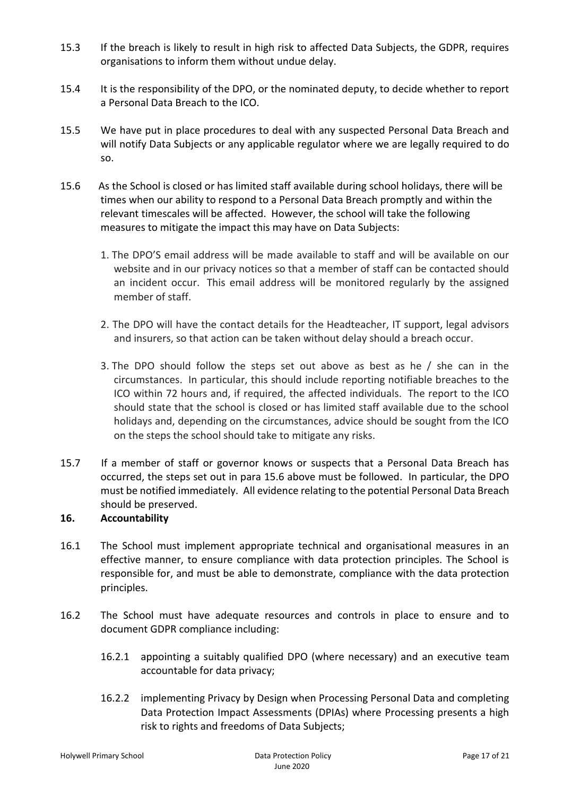- 15.3 If the breach is likely to result in high risk to affected Data Subjects, the GDPR, requires organisations to inform them without undue delay.
- 15.4 It is the responsibility of the DPO, or the nominated deputy, to decide whether to report a Personal Data Breach to the ICO.
- 15.5 We have put in place procedures to deal with any suspected Personal Data Breach and will notify Data Subjects or any applicable regulator where we are legally required to do so.
- 15.6 As the School is closed or has limited staff available during school holidays, there will be times when our ability to respond to a Personal Data Breach promptly and within the relevant timescales will be affected. However, the school will take the following measures to mitigate the impact this may have on Data Subjects:
	- 1. The DPO'S email address will be made available to staff and will be available on our website and in our privacy notices so that a member of staff can be contacted should an incident occur. This email address will be monitored regularly by the assigned member of staff.
	- 2. The DPO will have the contact details for the Headteacher, IT support, legal advisors and insurers, so that action can be taken without delay should a breach occur.
	- 3. The DPO should follow the steps set out above as best as he / she can in the circumstances. In particular, this should include reporting notifiable breaches to the ICO within 72 hours and, if required, the affected individuals. The report to the ICO should state that the school is closed or has limited staff available due to the school holidays and, depending on the circumstances, advice should be sought from the ICO on the steps the school should take to mitigate any risks.
- 15.7 If a member of staff or governor knows or suspects that a Personal Data Breach has occurred, the steps set out in para 15.6 above must be followed. In particular, the DPO must be notified immediately. All evidence relating to the potential Personal Data Breach should be preserved.

## **16. Accountability**

- 16.1 The School must implement appropriate technical and organisational measures in an effective manner, to ensure compliance with data protection principles. The School is responsible for, and must be able to demonstrate, compliance with the data protection principles.
- 16.2 The School must have adequate resources and controls in place to ensure and to document GDPR compliance including:
	- 16.2.1 appointing a suitably qualified DPO (where necessary) and an executive team accountable for data privacy;
	- 16.2.2 implementing Privacy by Design when Processing Personal Data and completing Data Protection Impact Assessments (DPIAs) where Processing presents a high risk to rights and freedoms of Data Subjects;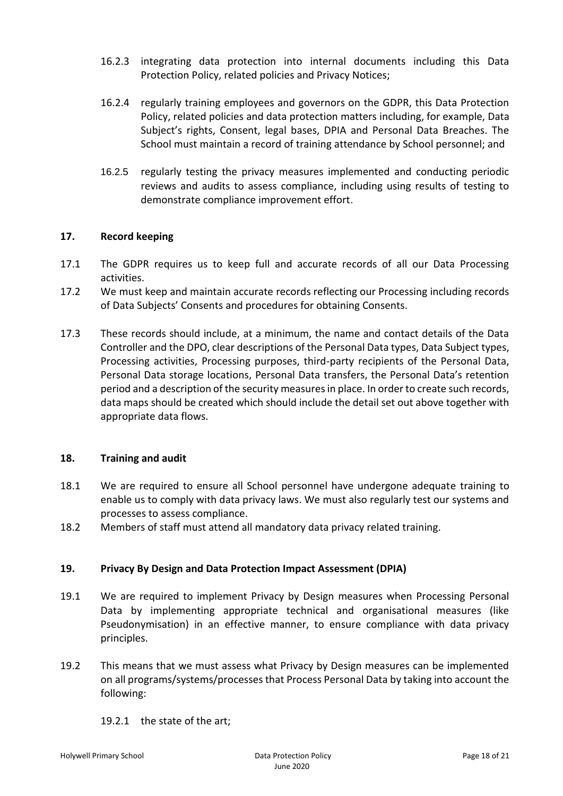- 16.2.3 integrating data protection into internal documents including this Data Protection Policy, related policies and Privacy Notices;
- 16.2.4 regularly training employees and governors on the GDPR, this Data Protection Policy, related policies and data protection matters including, for example, Data Subject's rights, Consent, legal bases, DPIA and Personal Data Breaches. The School must maintain a record of training attendance by School personnel; and
- 16.2.5 regularly testing the privacy measures implemented and conducting periodic reviews and audits to assess compliance, including using results of testing to demonstrate compliance improvement effort.

### **17. Record keeping**

- 17.1 The GDPR requires us to keep full and accurate records of all our Data Processing activities.
- 17.2 We must keep and maintain accurate records reflecting our Processing including records of Data Subjects' Consents and procedures for obtaining Consents.
- 17.3 These records should include, at a minimum, the name and contact details of the Data Controller and the DPO, clear descriptions of the Personal Data types, Data Subject types, Processing activities, Processing purposes, third-party recipients of the Personal Data, Personal Data storage locations, Personal Data transfers, the Personal Data's retention period and a description of the security measures in place. In order to create such records, data maps should be created which should include the detail set out above together with appropriate data flows.

### **18. Training and audit**

- 18.1 We are required to ensure all School personnel have undergone adequate training to enable us to comply with data privacy laws. We must also regularly test our systems and processes to assess compliance.
- 18.2 Members of staff must attend all mandatory data privacy related training.

### **19. Privacy By Design and Data Protection Impact Assessment (DPIA)**

- 19.1 We are required to implement Privacy by Design measures when Processing Personal Data by implementing appropriate technical and organisational measures (like Pseudonymisation) in an effective manner, to ensure compliance with data privacy principles.
- 19.2 This means that we must assess what Privacy by Design measures can be implemented on all programs/systems/processes that Process Personal Data by taking into account the following:
	- 19.2.1 the state of the art;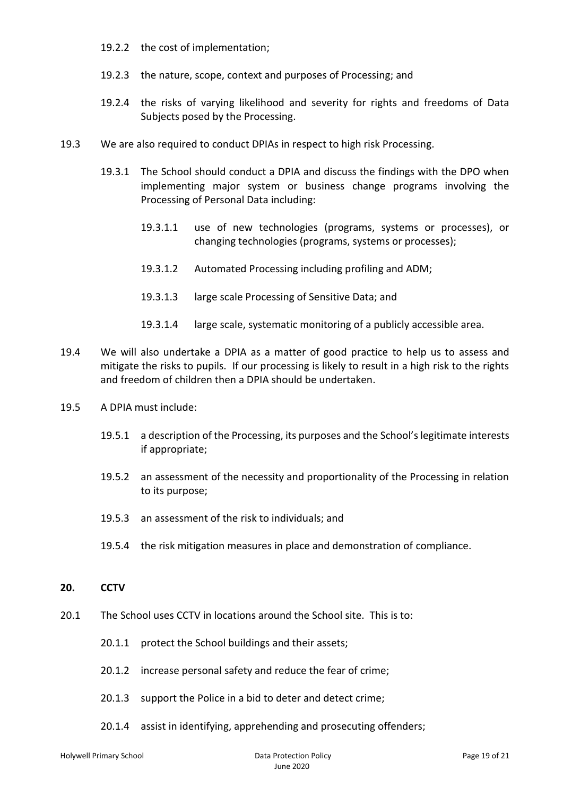- 19.2.2 the cost of implementation;
- 19.2.3 the nature, scope, context and purposes of Processing; and
- 19.2.4 the risks of varying likelihood and severity for rights and freedoms of Data Subjects posed by the Processing.
- 19.3 We are also required to conduct DPIAs in respect to high risk Processing.
	- 19.3.1 The School should conduct a DPIA and discuss the findings with the DPO when implementing major system or business change programs involving the Processing of Personal Data including:
		- 19.3.1.1 use of new technologies (programs, systems or processes), or changing technologies (programs, systems or processes);
		- 19.3.1.2 Automated Processing including profiling and ADM;
		- 19.3.1.3 large scale Processing of Sensitive Data; and
		- 19.3.1.4 large scale, systematic monitoring of a publicly accessible area.
- 19.4 We will also undertake a DPIA as a matter of good practice to help us to assess and mitigate the risks to pupils. If our processing is likely to result in a high risk to the rights and freedom of children then a DPIA should be undertaken.
- 19.5 A DPIA must include:
	- 19.5.1 a description of the Processing, its purposes and the School's legitimate interests if appropriate;
	- 19.5.2 an assessment of the necessity and proportionality of the Processing in relation to its purpose;
	- 19.5.3 an assessment of the risk to individuals; and
	- 19.5.4 the risk mitigation measures in place and demonstration of compliance.

#### **20. CCTV**

- 20.1 The School uses CCTV in locations around the School site. This is to:
	- 20.1.1 protect the School buildings and their assets;
	- 20.1.2 increase personal safety and reduce the fear of crime;
	- 20.1.3 support the Police in a bid to deter and detect crime;
	- 20.1.4 assist in identifying, apprehending and prosecuting offenders;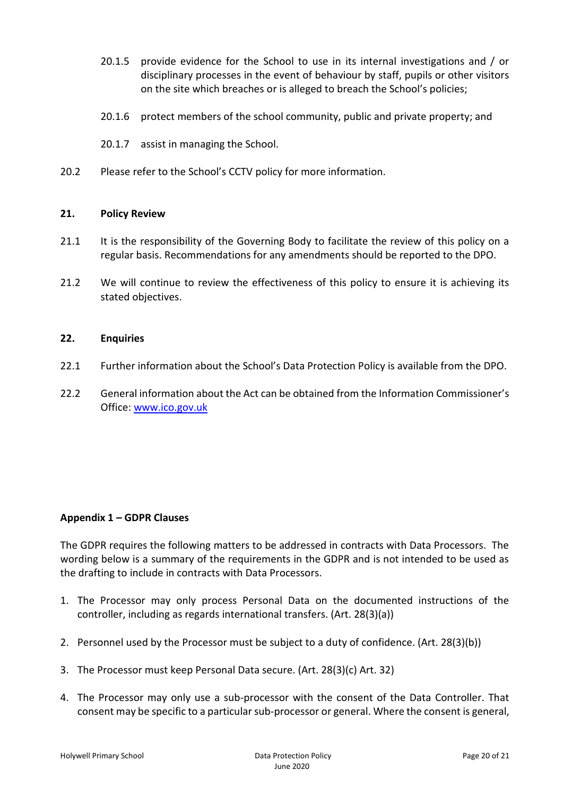- 20.1.5 provide evidence for the School to use in its internal investigations and / or disciplinary processes in the event of behaviour by staff, pupils or other visitors on the site which breaches or is alleged to breach the School's policies;
- 20.1.6 protect members of the school community, public and private property; and
- 20.1.7 assist in managing the School.
- 20.2 Please refer to the School's CCTV policy for more information.

### **21. Policy Review**

- 21.1 It is the responsibility of the Governing Body to facilitate the review of this policy on a regular basis. Recommendations for any amendments should be reported to the DPO.
- 21.2 We will continue to review the effectiveness of this policy to ensure it is achieving its stated objectives.

#### **22. Enquiries**

- 22.1 Further information about the School's Data Protection Policy is available from the DPO.
- 22.2 General information about the Act can be obtained from the Information Commissioner's Office: [www.ico.gov.uk](http://www.ico.gov.uk/)

### **Appendix 1 – GDPR Clauses**

The GDPR requires the following matters to be addressed in contracts with Data Processors. The wording below is a summary of the requirements in the GDPR and is not intended to be used as the drafting to include in contracts with Data Processors.

- 1. The Processor may only process Personal Data on the documented instructions of the controller, including as regards international transfers. (Art. 28(3)(a))
- 2. Personnel used by the Processor must be subject to a duty of confidence. (Art. 28(3)(b))
- 3. The Processor must keep Personal Data secure. (Art. 28(3)(c) Art. 32)
- 4. The Processor may only use a sub-processor with the consent of the Data Controller. That consent may be specific to a particular sub-processor or general. Where the consent is general,